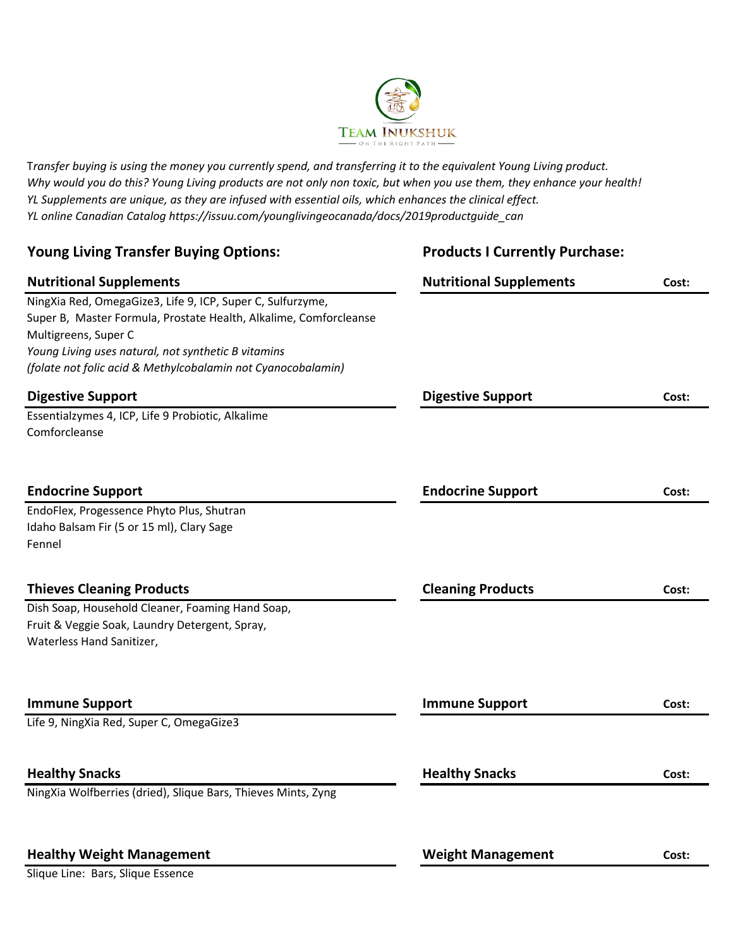

T*ransfer buying is using the money you currently spend, and transferring it to the equivalent Young Living product. Why would you do this? Young Living products are not only non toxic, but when you use them, they enhance your health! YL Supplements are unique, as they are infused with essential oils, which enhances the clinical effect. YL online Canadian Catalog https://issuu.com/younglivingeocanada/docs/2019productguide\_can*

| <b>Young Living Transfer Buying Options:</b>                      | <b>Products I Currently Purchase:</b> |       |
|-------------------------------------------------------------------|---------------------------------------|-------|
| <b>Nutritional Supplements</b>                                    | <b>Nutritional Supplements</b>        | Cost: |
| NingXia Red, OmegaGize3, Life 9, ICP, Super C, Sulfurzyme,        |                                       |       |
| Super B, Master Formula, Prostate Health, Alkalime, Comforcleanse |                                       |       |
| Multigreens, Super C                                              |                                       |       |
| Young Living uses natural, not synthetic B vitamins               |                                       |       |
| (folate not folic acid & Methylcobalamin not Cyanocobalamin)      |                                       |       |
| <b>Digestive Support</b>                                          | <b>Digestive Support</b>              | Cost: |
| Essentialzymes 4, ICP, Life 9 Probiotic, Alkalime                 |                                       |       |
| Comforcleanse                                                     |                                       |       |
|                                                                   |                                       |       |
| <b>Endocrine Support</b>                                          | <b>Endocrine Support</b>              | Cost: |
| EndoFlex, Progessence Phyto Plus, Shutran                         |                                       |       |
| Idaho Balsam Fir (5 or 15 ml), Clary Sage                         |                                       |       |
| Fennel                                                            |                                       |       |
| <b>Thieves Cleaning Products</b>                                  | <b>Cleaning Products</b>              | Cost: |
| Dish Soap, Household Cleaner, Foaming Hand Soap,                  |                                       |       |
| Fruit & Veggie Soak, Laundry Detergent, Spray,                    |                                       |       |
| Waterless Hand Sanitizer,                                         |                                       |       |
|                                                                   |                                       |       |
| <b>Immune Support</b>                                             | <b>Immune Support</b>                 | Cost: |
| Life 9, NingXia Red, Super C, OmegaGize3                          |                                       |       |
| <b>Healthy Snacks</b>                                             | <b>Healthy Snacks</b>                 | Cost: |
| NingXia Wolfberries (dried), Slique Bars, Thieves Mints, Zyng     |                                       |       |
|                                                                   |                                       |       |
| <b>Healthy Weight Management</b>                                  | <b>Weight Management</b>              | Cost: |

Slique Line: Bars, Slique Essence